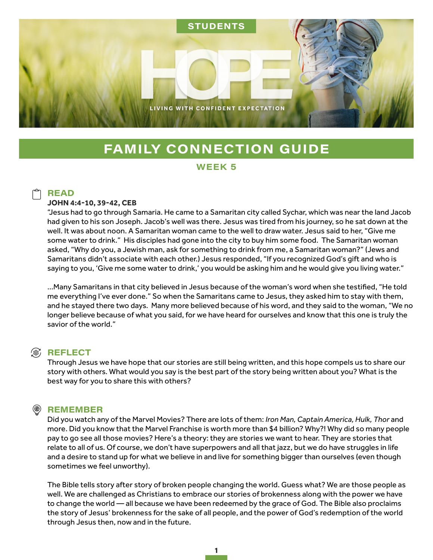

# **FAMILY CONNECTION GUIDE**

#### WEEK<sub>5</sub>

### **READ**

#### **JOHN 4:4-10, 39-42, CEB**

"Jesus had to go through Samaria. He came to a Samaritan city called Sychar, which was near the land Jacob had given to his son Joseph. Jacob's well was there. Jesus was tired from his journey, so he sat down at the well. It was about noon. A Samaritan woman came to the well to draw water. Jesus said to her, "Give me some water to drink." His disciples had gone into the city to buy him some food. The Samaritan woman asked, "Why do you, a Jewish man, ask for something to drink from me, a Samaritan woman?" (Jews and Samaritans didn't associate with each other.) Jesus responded, "If you recognized God's gift and who is saying to you, 'Give me some water to drink,' you would be asking him and he would give you living water."

…Many Samaritans in that city believed in Jesus because of the woman's word when she testified, "He told me everything I've ever done." So when the Samaritans came to Jesus, they asked him to stay with them, and he stayed there two days. Many more believed because of his word, and they said to the woman, "We no longer believe because of what you said, for we have heard for ourselves and know that this one is truly the savior of the world."

#### **<sup><sup>®</sup>, REFLECT**</sup>

Through Jesus we have hope that our stories are still being written, and this hope compels us to share our story with others. What would you say is the best part of the story being written about you? What is the best way for you to share this with others?

#### ⊛) **REMEMBER**

Did you watch any of the Marvel Movies? There are lots of them: *Iron Man, Captain America, Hulk, Thor* and more. Did you know that the Marvel Franchise is worth more than \$4 billion? Why?! Why did so many people pay to go see all those movies? Here's a theory: they are stories we want to hear. They are stories that relate to all of us. Of course, we don't have superpowers and all that jazz, but we do have struggles in life and a desire to stand up for what we believe in and live for something bigger than ourselves (even though sometimes we feel unworthy).

The Bible tells story after story of broken people changing the world. Guess what? We are those people as well. We are challenged as Christians to embrace our stories of brokenness along with the power we have to change the world — all because we have been redeemed by the grace of God. The Bible also proclaims the story of Jesus' brokenness for the sake of all people, and the power of God's redemption of the world through Jesus then, now and in the future.